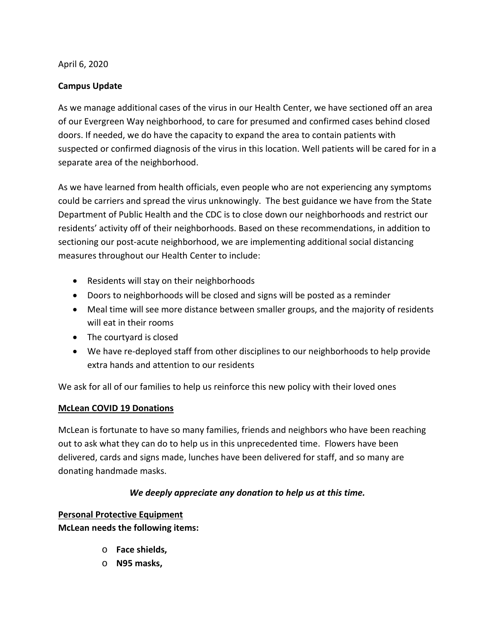#### April 6, 2020

# **Campus Update**

As we manage additional cases of the virus in our Health Center, we have sectioned off an area of our Evergreen Way neighborhood, to care for presumed and confirmed cases behind closed doors. If needed, we do have the capacity to expand the area to contain patients with suspected or confirmed diagnosis of the virus in this location. Well patients will be cared for in a separate area of the neighborhood.

As we have learned from health officials, even people who are not experiencing any symptoms could be carriers and spread the virus unknowingly. The best guidance we have from the State Department of Public Health and the CDC is to close down our neighborhoods and restrict our residents' activity off of their neighborhoods. Based on these recommendations, in addition to sectioning our post-acute neighborhood, we are implementing additional social distancing measures throughout our Health Center to include:

- Residents will stay on their neighborhoods
- Doors to neighborhoods will be closed and signs will be posted as a reminder
- Meal time will see more distance between smaller groups, and the majority of residents will eat in their rooms
- The courtyard is closed
- We have re-deployed staff from other disciplines to our neighborhoods to help provide extra hands and attention to our residents

We ask for all of our families to help us reinforce this new policy with their loved ones

# **McLean COVID 19 Donations**

McLean is fortunate to have so many families, friends and neighbors who have been reaching out to ask what they can do to help us in this unprecedented time. Flowers have been delivered, cards and signs made, lunches have been delivered for staff, and so many are donating handmade masks.

# *We deeply appreciate any donation to help us at this time.*

**Personal Protective Equipment**

**McLean needs the following items:**

- o **Face shields,**
- o **N95 masks,**